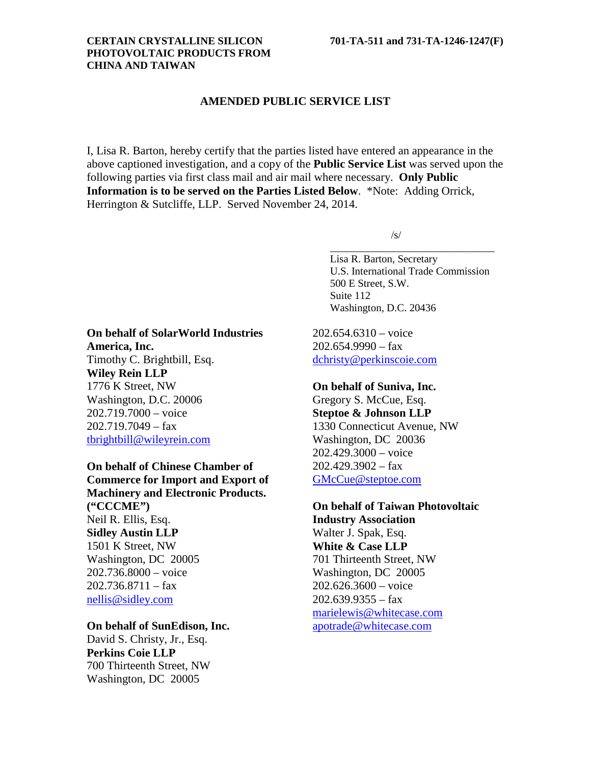## **CERTAIN CRYSTALLINE SILICON 701-TA-511 and 731-TA-1246-1247(F) PHOTOVOLTAIC PRODUCTS FROM CHINA AND TAIWAN**

# **AMENDED PUBLIC SERVICE LIST**

I, Lisa R. Barton, hereby certify that the parties listed have entered an appearance in the above captioned investigation, and a copy of the **Public Service List** was served upon the following parties via first class mail and air mail where necessary. **Only Public Information is to be served on the Parties Listed Below**. \*Note: Adding Orrick, Herrington & Sutcliffe, LLP. Served November 24, 2014.

/s/

Lisa R. Barton, Secretary U.S. International Trade Commission 500 E Street, S.W. Suite 112 Washington, D.C. 20436

\_\_\_\_\_\_\_\_\_\_\_\_\_\_\_\_\_\_\_\_\_\_\_\_\_\_\_\_\_\_\_

202.654.6310 – voice  $202.654.9990 - fax$ [dchristy@perkinscoie.com](mailto:dchristy@perkinscoie.com)

## **On behalf of Suniva, Inc.**

Gregory S. McCue, Esq. **Steptoe & Johnson LLP** 1330 Connecticut Avenue, NW Washington, DC 20036 202.429.3000 – voice 202.429.3902 – fax [GMcCue@steptoe.com](mailto:GMcCue@steptoe.com)

# **On behalf of Taiwan Photovoltaic**

**Industry Association** Walter J. Spak, Esq. **White & Case LLP** 701 Thirteenth Street, NW Washington, DC 20005 202.626.3600 – voice  $202.639.9355 - fax$ [marielewis@whitecase.com](mailto:marielewis@whitecase.com) [apotrade@whitecase.com](mailto:apotrade@whitecase.com)

# **On behalf of SolarWorld Industries America, Inc.** Timothy C. Brightbill, Esq. **Wiley Rein LLP** 1776 K Street, NW Washington, D.C. 20006 202.719.7000 – voice  $202.719.7049 - fax$ [tbrightbill@wileyrein.com](mailto:tbrightbill@wileyrein.com)

**On behalf of Chinese Chamber of Commerce for Import and Export of Machinery and Electronic Products. ("CCCME")** Neil R. Ellis, Esq. **Sidley Austin LLP** 1501 K Street, NW Washington, DC 20005 202.736.8000 – voice  $202.736.8711 - fax$ [nellis@sidley.com](mailto:nellis@sidley.com)

# **On behalf of SunEdison, Inc.**

David S. Christy, Jr., Esq. **Perkins Coie LLP** 700 Thirteenth Street, NW Washington, DC 20005